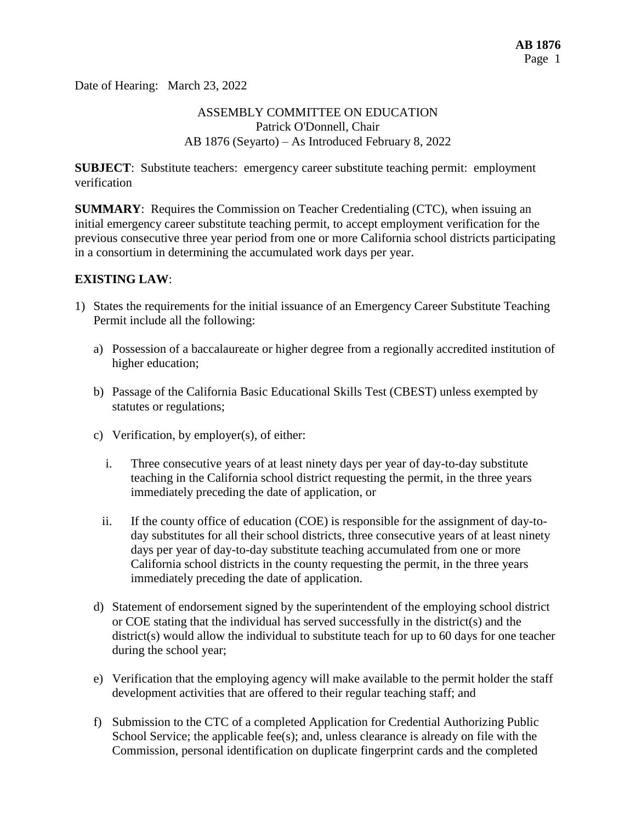Date of Hearing: March 23, 2022

## ASSEMBLY COMMITTEE ON EDUCATION Patrick O'Donnell, Chair AB 1876 (Seyarto) – As Introduced February 8, 2022

**SUBJECT**: Substitute teachers: emergency career substitute teaching permit: employment verification

**SUMMARY**: Requires the Commission on Teacher Credentialing (CTC), when issuing an initial emergency career substitute teaching permit, to accept employment verification for the previous consecutive three year period from one or more California school districts participating in a consortium in determining the accumulated work days per year.

### **EXISTING LAW**:

- 1) States the requirements for the initial issuance of an Emergency Career Substitute Teaching Permit include all the following:
	- a) Possession of a baccalaureate or higher degree from a regionally accredited institution of higher education;
	- b) Passage of the California Basic Educational Skills Test (CBEST) unless exempted by statutes or regulations;
	- c) Verification, by employer(s), of either:
		- i. Three consecutive years of at least ninety days per year of day-to-day substitute teaching in the California school district requesting the permit, in the three years immediately preceding the date of application, or
		- ii. If the county office of education (COE) is responsible for the assignment of day-today substitutes for all their school districts, three consecutive years of at least ninety days per year of day-to-day substitute teaching accumulated from one or more California school districts in the county requesting the permit, in the three years immediately preceding the date of application.
	- d) Statement of endorsement signed by the superintendent of the employing school district or COE stating that the individual has served successfully in the district(s) and the district(s) would allow the individual to substitute teach for up to 60 days for one teacher during the school year;
	- e) Verification that the employing agency will make available to the permit holder the staff development activities that are offered to their regular teaching staff; and
	- f) Submission to the CTC of a completed Application for Credential Authorizing Public School Service; the applicable fee(s); and, unless clearance is already on file with the Commission, personal identification on duplicate fingerprint cards and the completed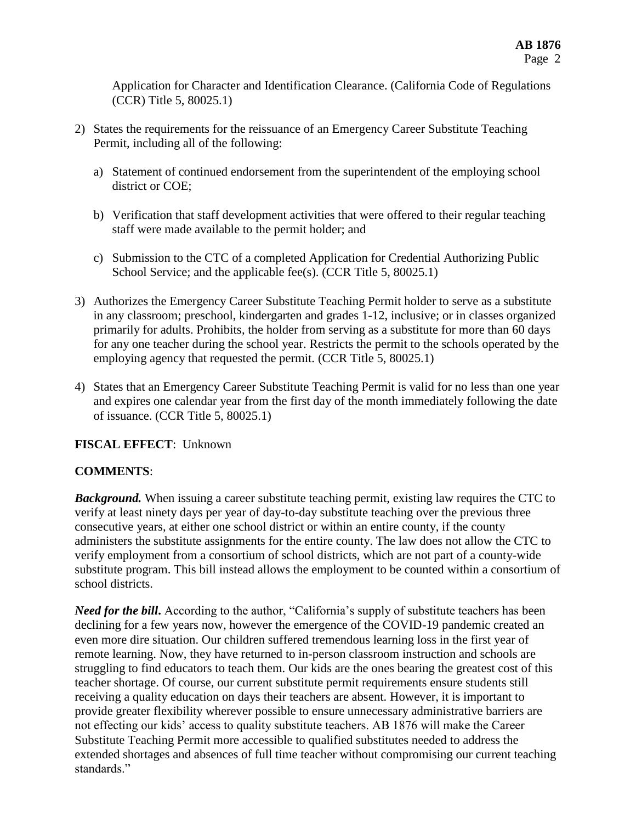Application for Character and Identification Clearance. (California Code of Regulations (CCR) Title 5, 80025.1)

- 2) States the requirements for the reissuance of an Emergency Career Substitute Teaching Permit, including all of the following:
	- a) Statement of continued endorsement from the superintendent of the employing school district or COE;
	- b) Verification that staff development activities that were offered to their regular teaching staff were made available to the permit holder; and
	- c) Submission to the CTC of a completed Application for Credential Authorizing Public School Service; and the applicable fee(s). (CCR Title 5, 80025.1)
- 3) Authorizes the Emergency Career Substitute Teaching Permit holder to serve as a substitute in any classroom; preschool, kindergarten and grades 1-12, inclusive; or in classes organized primarily for adults. Prohibits, the holder from serving as a substitute for more than 60 days for any one teacher during the school year. Restricts the permit to the schools operated by the employing agency that requested the permit. (CCR Title 5, 80025.1)
- 4) States that an Emergency Career Substitute Teaching Permit is valid for no less than one year and expires one calendar year from the first day of the month immediately following the date of issuance. (CCR Title 5, 80025.1)

# **FISCAL EFFECT**: Unknown

# **COMMENTS**:

*Background.* When issuing a career substitute teaching permit, existing law requires the CTC to verify at least ninety days per year of day-to-day substitute teaching over the previous three consecutive years, at either one school district or within an entire county, if the county administers the substitute assignments for the entire county. The law does not allow the CTC to verify employment from a consortium of school districts, which are not part of a county-wide substitute program. This bill instead allows the employment to be counted within a consortium of school districts.

*Need for the bill***.** According to the author, "California's supply of substitute teachers has been declining for a few years now, however the emergence of the COVID-19 pandemic created an even more dire situation. Our children suffered tremendous learning loss in the first year of remote learning. Now, they have returned to in-person classroom instruction and schools are struggling to find educators to teach them. Our kids are the ones bearing the greatest cost of this teacher shortage. Of course, our current substitute permit requirements ensure students still receiving a quality education on days their teachers are absent. However, it is important to provide greater flexibility wherever possible to ensure unnecessary administrative barriers are not effecting our kids' access to quality substitute teachers. AB 1876 will make the Career Substitute Teaching Permit more accessible to qualified substitutes needed to address the extended shortages and absences of full time teacher without compromising our current teaching standards."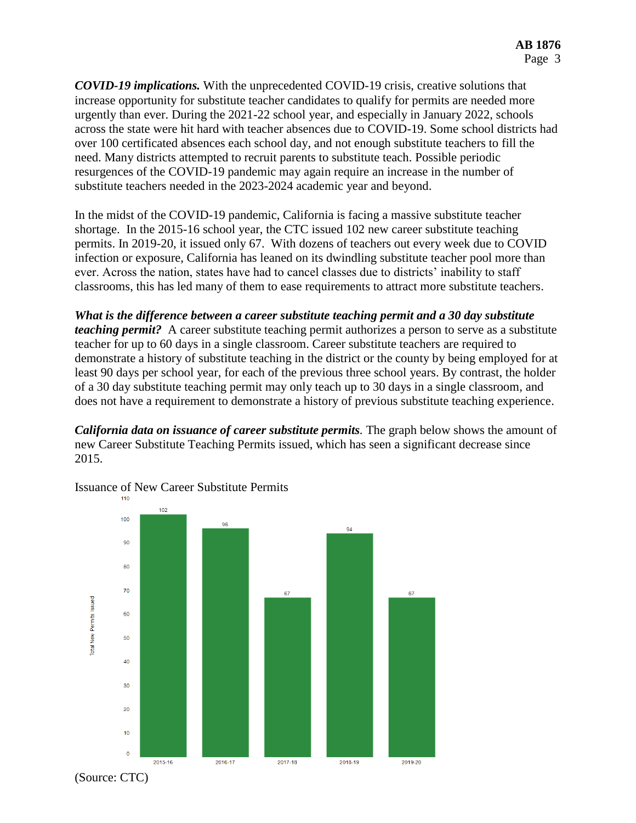*COVID-19 implications.* With the unprecedented COVID-19 crisis, creative solutions that increase opportunity for substitute teacher candidates to qualify for permits are needed more urgently than ever. During the 2021-22 school year, and especially in January 2022, schools across the state were hit hard with teacher absences due to COVID-19. Some school districts had over 100 certificated absences each school day, and not enough substitute teachers to fill the need. Many districts attempted to recruit parents to substitute teach. Possible periodic resurgences of the COVID-19 pandemic may again require an increase in the number of substitute teachers needed in the 2023-2024 academic year and beyond.

In the midst of the COVID-19 pandemic, California is facing a massive substitute teacher shortage. In the 2015-16 school year, the CTC issued 102 new career substitute teaching permits. In 2019-20, it issued only 67. With dozens of teachers out every week due to COVID infection or exposure, California has leaned on its dwindling substitute teacher pool more than ever. Across the nation, states have had to cancel classes due to districts' inability to staff classrooms, this has led many of them to ease requirements to attract more substitute teachers.

*What is the difference between a career substitute teaching permit and a 30 day substitute teaching permit?* A career substitute teaching permit authorizes a person to serve as a substitute teacher for up to 60 days in a single classroom. Career substitute teachers are required to demonstrate a history of substitute teaching in the district or the county by being employed for at least 90 days per school year, for each of the previous three school years. By contrast, the holder of a 30 day substitute teaching permit may only teach up to 30 days in a single classroom, and does not have a requirement to demonstrate a history of previous substitute teaching experience.

*California data on issuance of career substitute permits.* The graph below shows the amount of new Career Substitute Teaching Permits issued, which has seen a significant decrease since 2015.



Issuance of New Career Substitute Permits

(Source: CTC)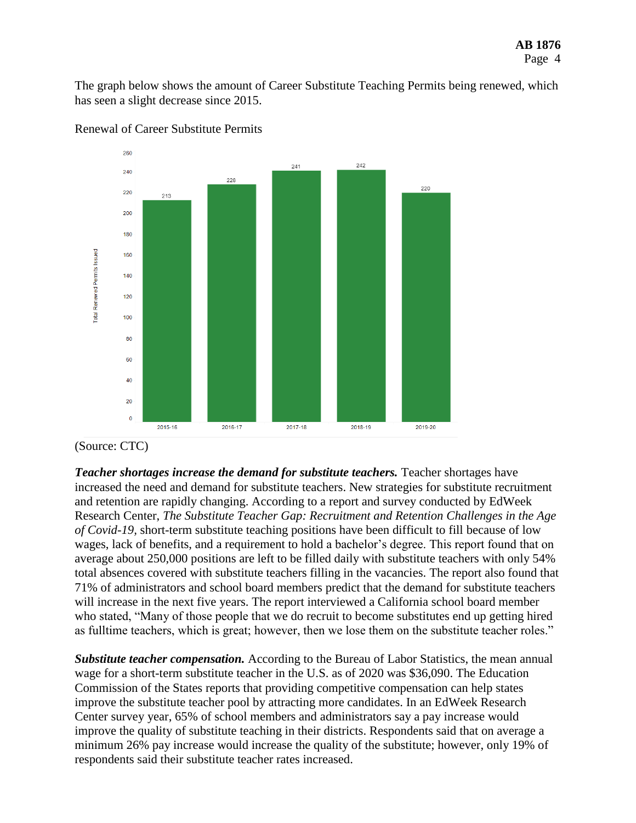The graph below shows the amount of Career Substitute Teaching Permits being renewed, which has seen a slight decrease since 2015.



#### Renewal of Career Substitute Permits

*Teacher shortages increase the demand for substitute teachers.* Teacher shortages have increased the need and demand for substitute teachers. New strategies for substitute recruitment and retention are rapidly changing. According to a report and survey conducted by EdWeek Research Center, *The Substitute Teacher Gap: Recruitment and Retention Challenges in the Age of Covid-19,* short-term substitute teaching positions have been difficult to fill because of low wages, lack of benefits, and a requirement to hold a bachelor's degree. This report found that on average about 250,000 positions are left to be filled daily with substitute teachers with only 54% total absences covered with substitute teachers filling in the vacancies. The report also found that 71% of administrators and school board members predict that the demand for substitute teachers will increase in the next five years. The report interviewed a California school board member who stated, "Many of those people that we do recruit to become substitutes end up getting hired as fulltime teachers, which is great; however, then we lose them on the substitute teacher roles."

*Substitute teacher compensation.* According to the Bureau of Labor Statistics, the mean annual wage for a short-term substitute teacher in the U.S. as of 2020 was \$36,090. The Education Commission of the States reports that providing competitive compensation can help states improve the substitute teacher pool by attracting more candidates. In an EdWeek Research Center survey year, 65% of school members and administrators say a pay increase would improve the quality of substitute teaching in their districts. Respondents said that on average a minimum 26% pay increase would increase the quality of the substitute; however, only 19% of respondents said their substitute teacher rates increased.

<sup>(</sup>Source: CTC)